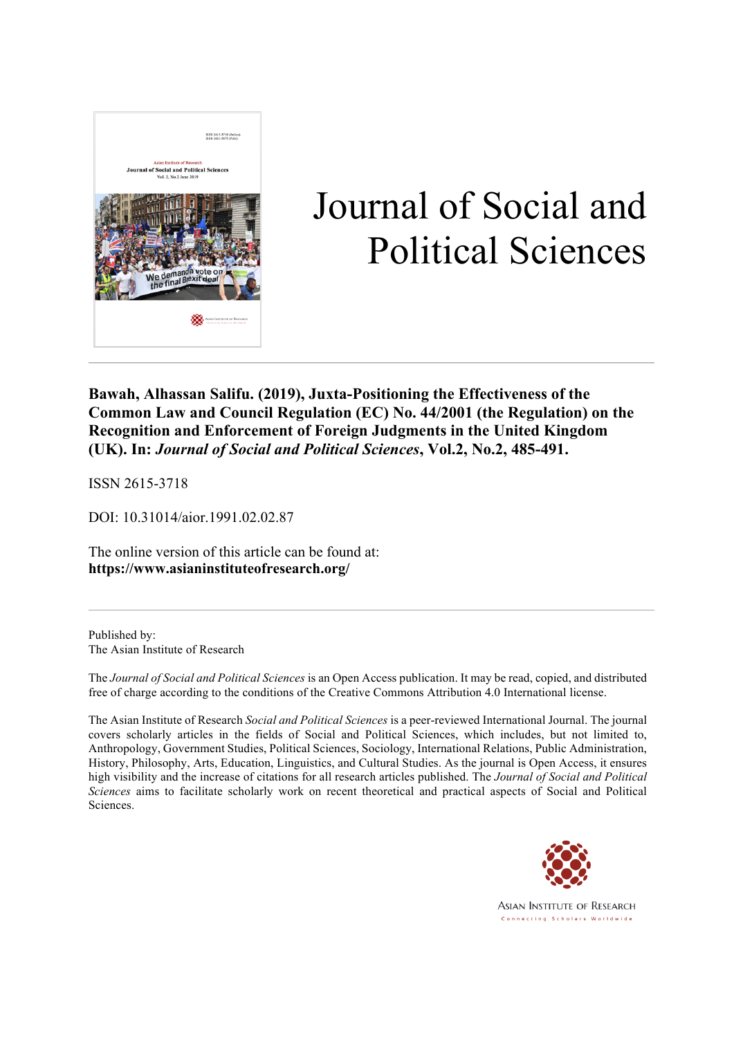

# Journal of Social and Political Sciences

**Bawah, Alhassan Salifu. (2019), Juxta-Positioning the Effectiveness of the Common Law and Council Regulation (EC) No. 44/2001 (the Regulation) on the Recognition and Enforcement of Foreign Judgments in the United Kingdom (UK). In:** *Journal of Social and Political Sciences***, Vol.2, No.2, 485-491.**

ISSN 2615-3718

DOI: 10.31014/aior.1991.02.02.87

The online version of this article can be found at: **https://www.asianinstituteofresearch.org/**

Published by: The Asian Institute of Research

The *Journal of Social and Political Sciences* is an Open Access publication. It may be read, copied, and distributed free of charge according to the conditions of the Creative Commons Attribution 4.0 International license.

The Asian Institute of Research *Social and Political Sciences* is a peer-reviewed International Journal. The journal covers scholarly articles in the fields of Social and Political Sciences, which includes, but not limited to, Anthropology, Government Studies, Political Sciences, Sociology, International Relations, Public Administration, History, Philosophy, Arts, Education, Linguistics, and Cultural Studies. As the journal is Open Access, it ensures high visibility and the increase of citations for all research articles published. The *Journal of Social and Political Sciences* aims to facilitate scholarly work on recent theoretical and practical aspects of Social and Political Sciences.

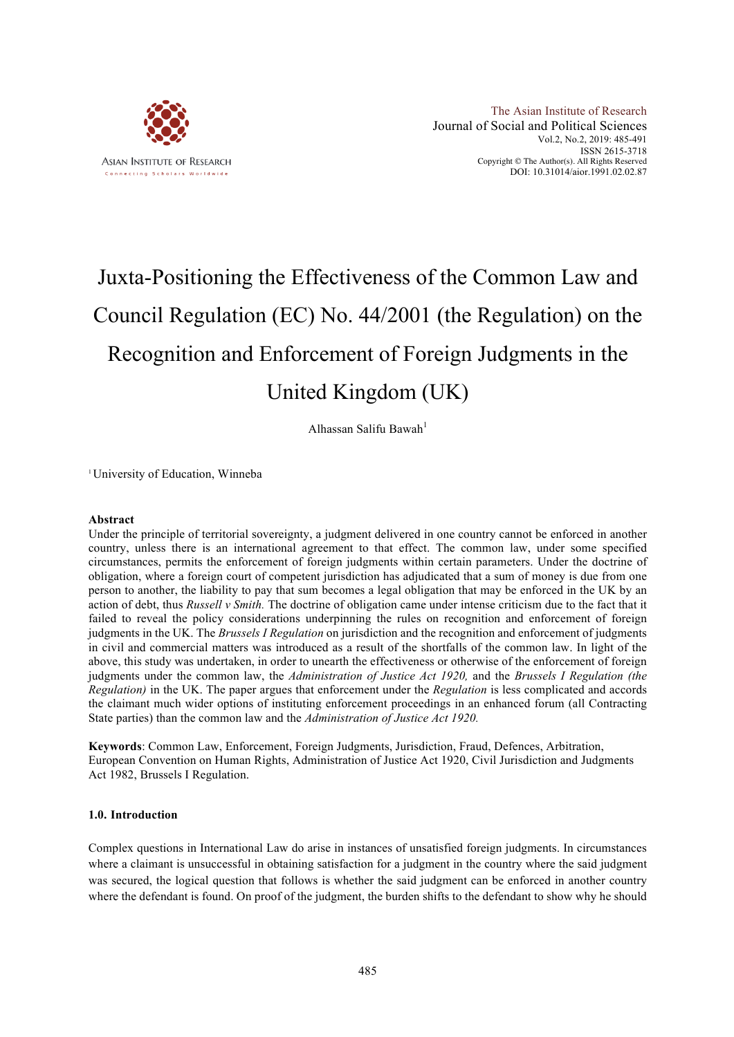

# Juxta-Positioning the Effectiveness of the Common Law and Council Regulation (EC) No. 44/2001 (the Regulation) on the Recognition and Enforcement of Foreign Judgments in the United Kingdom (UK)

Alhassan Salifu Bawah<sup>1</sup>

1University of Education, Winneba

#### **Abstract**

Under the principle of territorial sovereignty, a judgment delivered in one country cannot be enforced in another country, unless there is an international agreement to that effect. The common law, under some specified circumstances, permits the enforcement of foreign judgments within certain parameters. Under the doctrine of obligation, where a foreign court of competent jurisdiction has adjudicated that a sum of money is due from one person to another, the liability to pay that sum becomes a legal obligation that may be enforced in the UK by an action of debt, thus *Russell v Smith.* The doctrine of obligation came under intense criticism due to the fact that it failed to reveal the policy considerations underpinning the rules on recognition and enforcement of foreign judgments in the UK. The *Brussels I Regulation* on jurisdiction and the recognition and enforcement of judgments in civil and commercial matters was introduced as a result of the shortfalls of the common law. In light of the above, this study was undertaken, in order to unearth the effectiveness or otherwise of the enforcement of foreign judgments under the common law, the *Administration of Justice Act 1920,* and the *Brussels I Regulation (the Regulation)* in the UK. The paper argues that enforcement under the *Regulation* is less complicated and accords the claimant much wider options of instituting enforcement proceedings in an enhanced forum (all Contracting State parties) than the common law and the *Administration of Justice Act 1920.*

**Keywords**: Common Law, Enforcement, Foreign Judgments, Jurisdiction, Fraud, Defences, Arbitration, European Convention on Human Rights, Administration of Justice Act 1920, Civil Jurisdiction and Judgments Act 1982, Brussels I Regulation.

#### **1.0. Introduction**

Complex questions in International Law do arise in instances of unsatisfied foreign judgments. In circumstances where a claimant is unsuccessful in obtaining satisfaction for a judgment in the country where the said judgment was secured, the logical question that follows is whether the said judgment can be enforced in another country where the defendant is found. On proof of the judgment, the burden shifts to the defendant to show why he should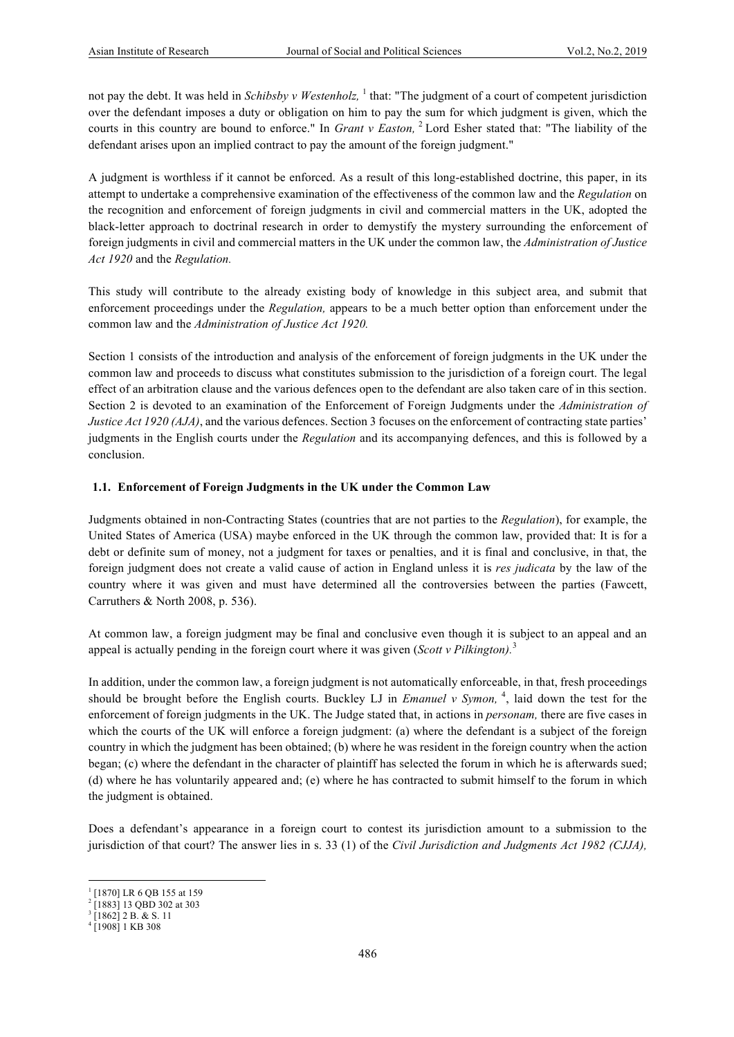not pay the debt. It was held in *Schibsby v Westenholz*, <sup>1</sup> that: "The judgment of a court of competent jurisdiction over the defendant imposes a duty or obligation on him to pay the sum for which judgment is given, which the courts in this country are bound to enforce." In *Grant v Easton,* <sup>2</sup> Lord Esher stated that: "The liability of the defendant arises upon an implied contract to pay the amount of the foreign judgment."

A judgment is worthless if it cannot be enforced. As a result of this long-established doctrine, this paper, in its attempt to undertake a comprehensive examination of the effectiveness of the common law and the *Regulation* on the recognition and enforcement of foreign judgments in civil and commercial matters in the UK, adopted the black-letter approach to doctrinal research in order to demystify the mystery surrounding the enforcement of foreign judgments in civil and commercial matters in the UK under the common law, the *Administration of Justice Act 1920* and the *Regulation.*

This study will contribute to the already existing body of knowledge in this subject area, and submit that enforcement proceedings under the *Regulation,* appears to be a much better option than enforcement under the common law and the *Administration of Justice Act 1920.*

Section 1 consists of the introduction and analysis of the enforcement of foreign judgments in the UK under the common law and proceeds to discuss what constitutes submission to the jurisdiction of a foreign court. The legal effect of an arbitration clause and the various defences open to the defendant are also taken care of in this section. Section 2 is devoted to an examination of the Enforcement of Foreign Judgments under the *Administration of Justice Act 1920 (AJA)*, and the various defences. Section 3 focuses on the enforcement of contracting state parties' judgments in the English courts under the *Regulation* and its accompanying defences, and this is followed by a conclusion.

#### **1.1. Enforcement of Foreign Judgments in the UK under the Common Law**

Judgments obtained in non-Contracting States (countries that are not parties to the *Regulation*), for example, the United States of America (USA) maybe enforced in the UK through the common law, provided that: It is for a debt or definite sum of money, not a judgment for taxes or penalties, and it is final and conclusive, in that, the foreign judgment does not create a valid cause of action in England unless it is *res judicata* by the law of the country where it was given and must have determined all the controversies between the parties (Fawcett, Carruthers & North 2008, p. 536).

At common law, a foreign judgment may be final and conclusive even though it is subject to an appeal and an appeal is actually pending in the foreign court where it was given (*Scott v Pilkington).*<sup>3</sup>

In addition, under the common law, a foreign judgment is not automatically enforceable, in that, fresh proceedings should be brought before the English courts. Buckley LJ in *Emanuel v Symon*, <sup>4</sup>, laid down the test for the enforcement of foreign judgments in the UK. The Judge stated that, in actions in *personam,* there are five cases in which the courts of the UK will enforce a foreign judgment: (a) where the defendant is a subject of the foreign country in which the judgment has been obtained; (b) where he was resident in the foreign country when the action began; (c) where the defendant in the character of plaintiff has selected the forum in which he is afterwards sued; (d) where he has voluntarily appeared and; (e) where he has contracted to submit himself to the forum in which the judgment is obtained.

Does a defendant's appearance in a foreign court to contest its jurisdiction amount to a submission to the jurisdiction of that court? The answer lies in s. 33 (1) of the *Civil Jurisdiction and Judgments Act 1982 (CJJA),* 

 

<sup>&</sup>lt;sup>1</sup> [1870] LR 6 QB 155 at 159

<sup>&</sup>lt;sup>2</sup> [1883] 13 QBD 302 at 303

 $3$  [1862] 2 B. & S. 11

 $4$  [1908] 1 KB 308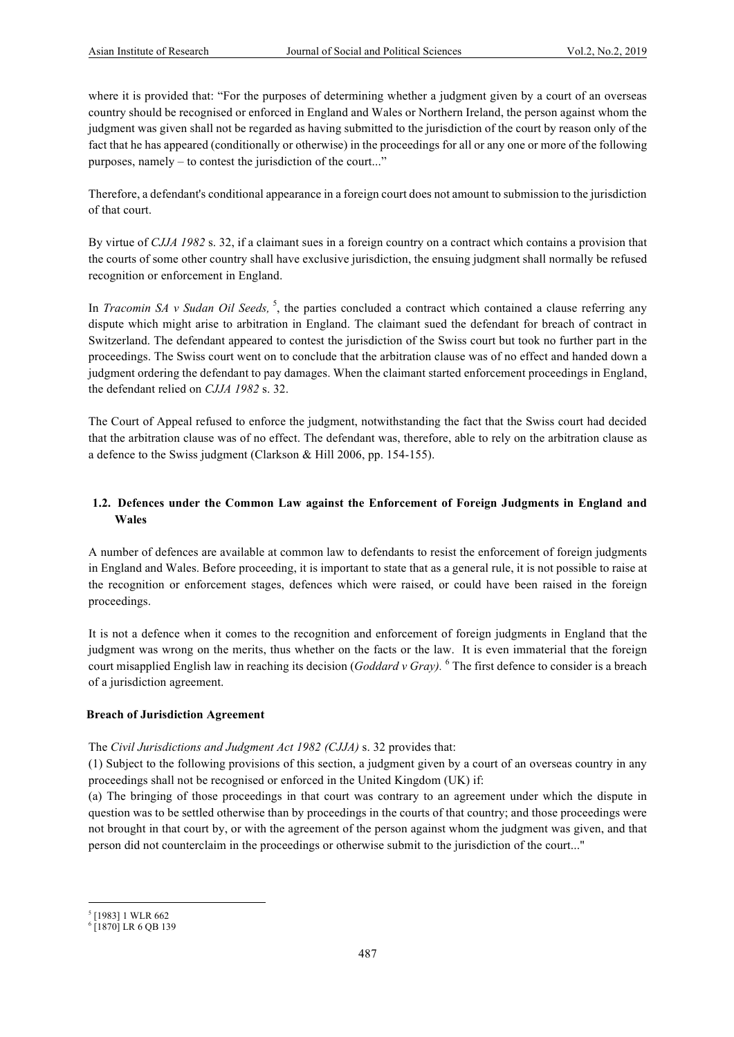where it is provided that: "For the purposes of determining whether a judgment given by a court of an overseas country should be recognised or enforced in England and Wales or Northern Ireland, the person against whom the judgment was given shall not be regarded as having submitted to the jurisdiction of the court by reason only of the fact that he has appeared (conditionally or otherwise) in the proceedings for all or any one or more of the following purposes, namely – to contest the jurisdiction of the court..."

Therefore, a defendant's conditional appearance in a foreign court does not amount to submission to the jurisdiction of that court.

By virtue of *CJJA 1982* s. 32, if a claimant sues in a foreign country on a contract which contains a provision that the courts of some other country shall have exclusive jurisdiction, the ensuing judgment shall normally be refused recognition or enforcement in England.

In *Tracomin SA v Sudan Oil Seeds*, <sup>5</sup>, the parties concluded a contract which contained a clause referring any dispute which might arise to arbitration in England. The claimant sued the defendant for breach of contract in Switzerland. The defendant appeared to contest the jurisdiction of the Swiss court but took no further part in the proceedings. The Swiss court went on to conclude that the arbitration clause was of no effect and handed down a judgment ordering the defendant to pay damages. When the claimant started enforcement proceedings in England, the defendant relied on *CJJA 1982* s. 32.

The Court of Appeal refused to enforce the judgment, notwithstanding the fact that the Swiss court had decided that the arbitration clause was of no effect. The defendant was, therefore, able to rely on the arbitration clause as a defence to the Swiss judgment (Clarkson & Hill 2006, pp. 154-155).

# **1.2. Defences under the Common Law against the Enforcement of Foreign Judgments in England and Wales**

A number of defences are available at common law to defendants to resist the enforcement of foreign judgments in England and Wales. Before proceeding, it is important to state that as a general rule, it is not possible to raise at the recognition or enforcement stages, defences which were raised, or could have been raised in the foreign proceedings.

It is not a defence when it comes to the recognition and enforcement of foreign judgments in England that the judgment was wrong on the merits, thus whether on the facts or the law. It is even immaterial that the foreign court misapplied English law in reaching its decision (*Goddard v Gray).* <sup>6</sup> The first defence to consider is a breach of a jurisdiction agreement.

#### **Breach of Jurisdiction Agreement**

 

#### The *Civil Jurisdictions and Judgment Act 1982 (CJJA)* s. 32 provides that:

(1) Subject to the following provisions of this section, a judgment given by a court of an overseas country in any proceedings shall not be recognised or enforced in the United Kingdom (UK) if:

(a) The bringing of those proceedings in that court was contrary to an agreement under which the dispute in question was to be settled otherwise than by proceedings in the courts of that country; and those proceedings were not brought in that court by, or with the agreement of the person against whom the judgment was given, and that person did not counterclaim in the proceedings or otherwise submit to the jurisdiction of the court..."

<sup>5</sup> [1983] 1 WLR 662

<sup>6</sup> [1870] LR 6 QB 139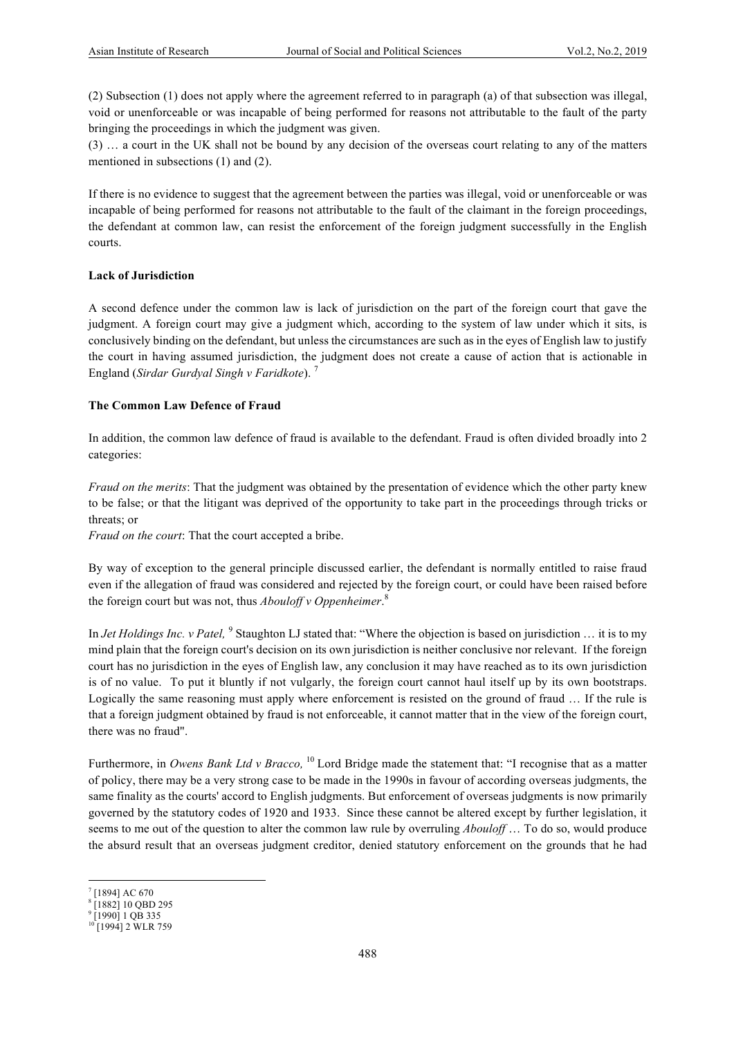(2) Subsection (1) does not apply where the agreement referred to in paragraph (a) of that subsection was illegal, void or unenforceable or was incapable of being performed for reasons not attributable to the fault of the party bringing the proceedings in which the judgment was given.

(3) … a court in the UK shall not be bound by any decision of the overseas court relating to any of the matters mentioned in subsections (1) and (2).

If there is no evidence to suggest that the agreement between the parties was illegal, void or unenforceable or was incapable of being performed for reasons not attributable to the fault of the claimant in the foreign proceedings, the defendant at common law, can resist the enforcement of the foreign judgment successfully in the English courts.

#### **Lack of Jurisdiction**

A second defence under the common law is lack of jurisdiction on the part of the foreign court that gave the judgment. A foreign court may give a judgment which, according to the system of law under which it sits, is conclusively binding on the defendant, but unless the circumstances are such as in the eyes of English law to justify the court in having assumed jurisdiction, the judgment does not create a cause of action that is actionable in England (*Sirdar Gurdyal Singh v Faridkote*). <sup>7</sup>

#### **The Common Law Defence of Fraud**

In addition, the common law defence of fraud is available to the defendant. Fraud is often divided broadly into 2 categories:

*Fraud on the merits*: That the judgment was obtained by the presentation of evidence which the other party knew to be false; or that the litigant was deprived of the opportunity to take part in the proceedings through tricks or threats; or

*Fraud on the court*: That the court accepted a bribe.

By way of exception to the general principle discussed earlier, the defendant is normally entitled to raise fraud even if the allegation of fraud was considered and rejected by the foreign court, or could have been raised before the foreign court but was not, thus *Abouloff v Oppenheimer*. 8

In *Jet Holdings Inc. v Patel*, <sup>9</sup> Staughton LJ stated that: "Where the objection is based on jurisdiction ... it is to my mind plain that the foreign court's decision on its own jurisdiction is neither conclusive nor relevant. If the foreign court has no jurisdiction in the eyes of English law, any conclusion it may have reached as to its own jurisdiction is of no value. To put it bluntly if not vulgarly, the foreign court cannot haul itself up by its own bootstraps. Logically the same reasoning must apply where enforcement is resisted on the ground of fraud … If the rule is that a foreign judgment obtained by fraud is not enforceable, it cannot matter that in the view of the foreign court, there was no fraud".

Furthermore, in *Owens Bank Ltd v Bracco,* <sup>10</sup> Lord Bridge made the statement that: "I recognise that as a matter of policy, there may be a very strong case to be made in the 1990s in favour of according overseas judgments, the same finality as the courts' accord to English judgments. But enforcement of overseas judgments is now primarily governed by the statutory codes of 1920 and 1933. Since these cannot be altered except by further legislation, it seems to me out of the question to alter the common law rule by overruling *Abouloff* … To do so, would produce the absurd result that an overseas judgment creditor, denied statutory enforcement on the grounds that he had

 

<sup>7</sup> [1894] AC 670

<sup>&</sup>lt;sup>8</sup> [1882] 10 QBD 295

<sup>9</sup> [1990] 1 QB 335

 $10$  [1994] 2 WLR 759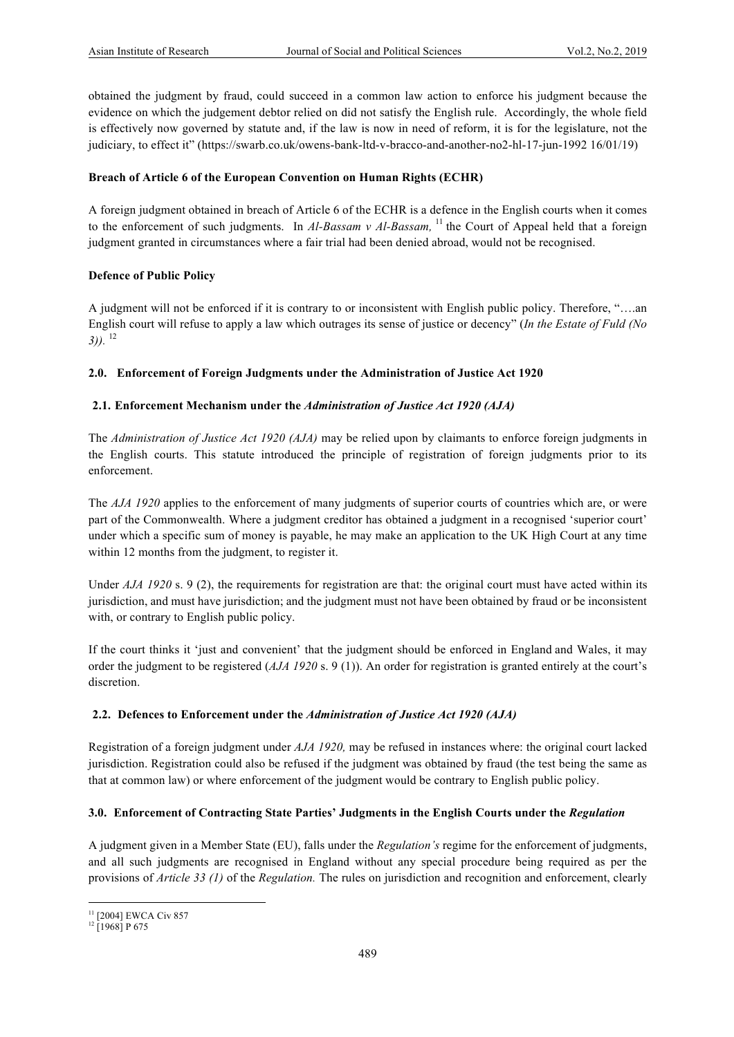obtained the judgment by fraud, could succeed in a common law action to enforce his judgment because the evidence on which the judgement debtor relied on did not satisfy the English rule. Accordingly, the whole field is effectively now governed by statute and, if the law is now in need of reform, it is for the legislature, not the judiciary, to effect it" (https://swarb.co.uk/owens-bank-ltd-v-bracco-and-another-no2-hl-17-jun-1992 16/01/19)

#### **Breach of Article 6 of the European Convention on Human Rights (ECHR)**

A foreign judgment obtained in breach of Article 6 of the ECHR is a defence in the English courts when it comes to the enforcement of such judgments. In *Al-Bassam v Al-Bassam,* <sup>11</sup> the Court of Appeal held that a foreign judgment granted in circumstances where a fair trial had been denied abroad, would not be recognised.

# **Defence of Public Policy**

A judgment will not be enforced if it is contrary to or inconsistent with English public policy. Therefore, "….an English court will refuse to apply a law which outrages its sense of justice or decency" (*In the Estate of Fuld (No 3)).* <sup>12</sup>

# **2.0. Enforcement of Foreign Judgments under the Administration of Justice Act 1920**

# **2.1. Enforcement Mechanism under the** *Administration of Justice Act 1920 (AJA)*

The *Administration of Justice Act 1920 (AJA)* may be relied upon by claimants to enforce foreign judgments in the English courts. This statute introduced the principle of registration of foreign judgments prior to its enforcement.

The *AJA 1920* applies to the enforcement of many judgments of superior courts of countries which are, or were part of the Commonwealth. Where a judgment creditor has obtained a judgment in a recognised 'superior court' under which a specific sum of money is payable, he may make an application to the UK High Court at any time within 12 months from the judgment, to register it.

Under *AJA 1920* s. 9 (2), the requirements for registration are that: the original court must have acted within its jurisdiction, and must have jurisdiction; and the judgment must not have been obtained by fraud or be inconsistent with, or contrary to English public policy.

If the court thinks it 'just and convenient' that the judgment should be enforced in England and Wales, it may order the judgment to be registered (*AJA 1920* s. 9 (1)). An order for registration is granted entirely at the court's discretion.

#### **2.2. Defences to Enforcement under the** *Administration of Justice Act 1920 (AJA)*

Registration of a foreign judgment under *AJA 1920,* may be refused in instances where: the original court lacked jurisdiction. Registration could also be refused if the judgment was obtained by fraud (the test being the same as that at common law) or where enforcement of the judgment would be contrary to English public policy.

#### **3.0. Enforcement of Contracting State Parties' Judgments in the English Courts under the** *Regulation*

A judgment given in a Member State (EU), falls under the *Regulation's* regime for the enforcement of judgments, and all such judgments are recognised in England without any special procedure being required as per the provisions of *Article 33 (1)* of the *Regulation.* The rules on jurisdiction and recognition and enforcement, clearly

 <sup>11</sup> [2004] EWCA Civ 857

 $12$  [1968] P 675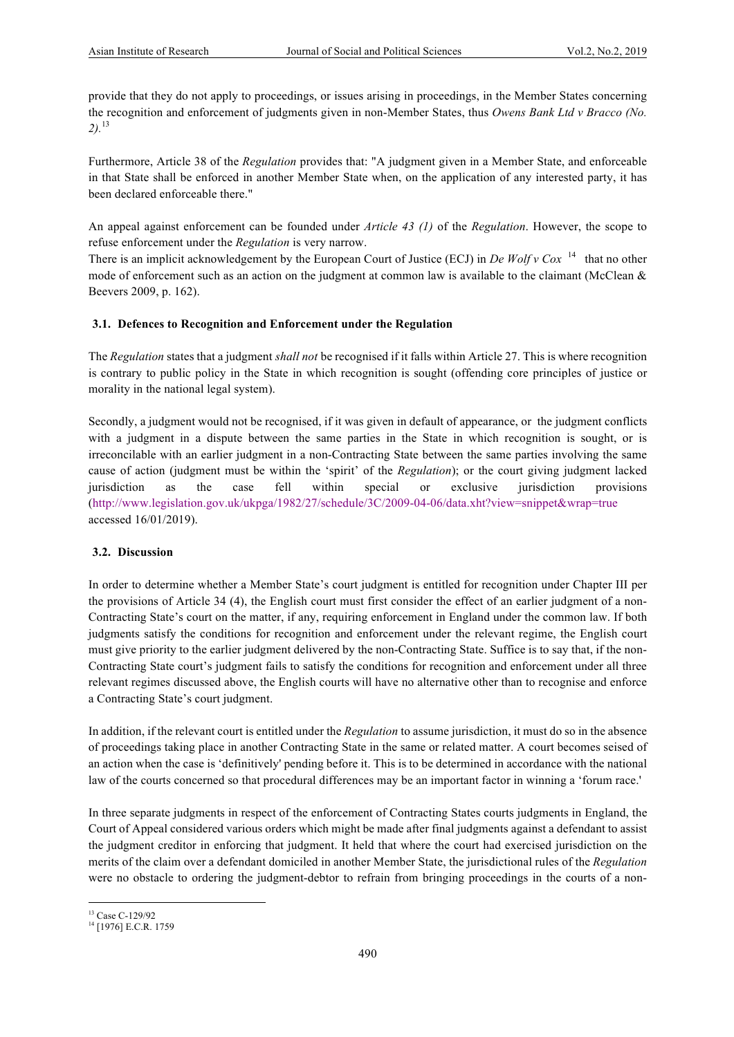provide that they do not apply to proceedings, or issues arising in proceedings, in the Member States concerning the recognition and enforcement of judgments given in non-Member States, thus *Owens Bank Ltd v Bracco (No. 2).*<sup>13</sup>

Furthermore, Article 38 of the *Regulation* provides that: "A judgment given in a Member State, and enforceable in that State shall be enforced in another Member State when, on the application of any interested party, it has been declared enforceable there."

An appeal against enforcement can be founded under *Article 43 (1)* of the *Regulation*. However, the scope to refuse enforcement under the *Regulation* is very narrow.

There is an implicit acknowledgement by the European Court of Justice (ECJ) in *De Wolf v Cox* 14 that no other mode of enforcement such as an action on the judgment at common law is available to the claimant (McClean  $\&$ Beevers 2009, p. 162).

# **3.1. Defences to Recognition and Enforcement under the Regulation**

The *Regulation* states that a judgment *shall not* be recognised if it falls within Article 27. This is where recognition is contrary to public policy in the State in which recognition is sought (offending core principles of justice or morality in the national legal system).

Secondly, a judgment would not be recognised, if it was given in default of appearance, or the judgment conflicts with a judgment in a dispute between the same parties in the State in which recognition is sought, or is irreconcilable with an earlier judgment in a non-Contracting State between the same parties involving the same cause of action (judgment must be within the 'spirit' of the *Regulation*); or the court giving judgment lacked jurisdiction as the case fell within special or exclusive jurisdiction provisions (http://www.legislation.gov.uk/ukpga/1982/27/schedule/3C/2009-04-06/data.xht?view=snippet&wrap=true accessed 16/01/2019).

#### **3.2. Discussion**

In order to determine whether a Member State's court judgment is entitled for recognition under Chapter III per the provisions of Article 34 (4), the English court must first consider the effect of an earlier judgment of a non-Contracting State's court on the matter, if any, requiring enforcement in England under the common law. If both judgments satisfy the conditions for recognition and enforcement under the relevant regime, the English court must give priority to the earlier judgment delivered by the non-Contracting State. Suffice is to say that, if the non-Contracting State court's judgment fails to satisfy the conditions for recognition and enforcement under all three relevant regimes discussed above, the English courts will have no alternative other than to recognise and enforce a Contracting State's court judgment.

In addition, if the relevant court is entitled under the *Regulation* to assume jurisdiction, it must do so in the absence of proceedings taking place in another Contracting State in the same or related matter. A court becomes seised of an action when the case is 'definitively' pending before it. This is to be determined in accordance with the national law of the courts concerned so that procedural differences may be an important factor in winning a 'forum race.'

In three separate judgments in respect of the enforcement of Contracting States courts judgments in England, the Court of Appeal considered various orders which might be made after final judgments against a defendant to assist the judgment creditor in enforcing that judgment. It held that where the court had exercised jurisdiction on the merits of the claim over a defendant domiciled in another Member State, the jurisdictional rules of the *Regulation*  were no obstacle to ordering the judgment-debtor to refrain from bringing proceedings in the courts of a non-

 <sup>13</sup> Case C-129/92<br><sup>14</sup> [1976] E.C.R. 1759